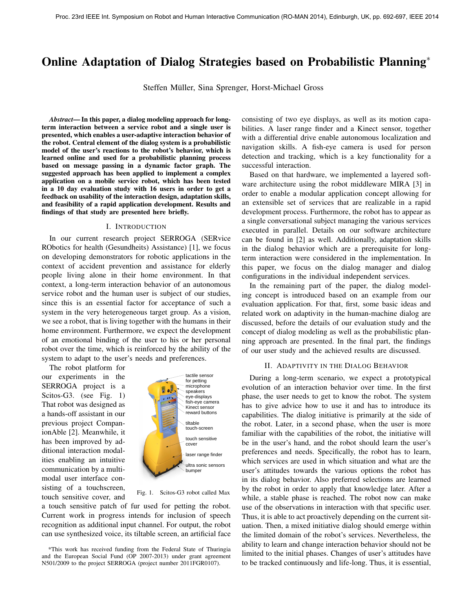# Online Adaptation of Dialog Strategies based on Probabilistic Planning<sup>∗</sup>

Steffen Muller, Sina Sprenger, Horst-Michael Gross ¨

*Abstract*— In this paper, a dialog modeling approach for longterm interaction between a service robot and a single user is presented, which enables a user-adaptive interaction behavior of the robot. Central element of the dialog system is a probabilistic model of the user's reactions to the robot's behavior, which is learned online and used for a probabilistic planning process based on message passing in a dynamic factor graph. The suggested approach has been applied to implement a complex application on a mobile service robot, which has been tested in a 10 day evaluation study with 16 users in order to get a feedback on usability of the interaction design, adaptation skills, and feasibility of a rapid application development. Results and findings of that study are presented here briefly.

#### I. INTRODUCTION

In our current research project SERROGA (SERvice RObotics for health (Gesundheits) Assistance) [1], we focus on developing demonstrators for robotic applications in the context of accident prevention and assistance for elderly people living alone in their home environment. In that context, a long-term interaction behavior of an autonomous service robot and the human user is subject of our studies, since this is an essential factor for acceptance of such a system in the very heterogeneous target group. As a vision, we see a robot, that is living together with the humans in their home environment. Furthermore, we expect the development of an emotional binding of the user to his or her personal robot over the time, which is reinforced by the ability of the system to adapt to the user's needs and preferences.

The robot platform for our experiments in the SERROGA project is a Scitos-G3. (see Fig. 1) That robot was designed as a hands-off assistant in our previous project CompanionAble [2]. Meanwhile, it has been improved by additional interaction modalities enabling an intuitive communication by a multimodal user interface consisting of a touchscreen, touch sensitive cover, and



Fig. 1. Scitos-G3 robot called Max

a touch sensitive patch of fur used for petting the robot. Current work in progress intends for inclusion of speech recognition as additional input channel. For output, the robot can use synthesized voice, its tiltable screen, an artificial face

consisting of two eye displays, as well as its motion capabilities. A laser range finder and a Kinect sensor, together with a differential drive enable autonomous localization and navigation skills. A fish-eye camera is used for person detection and tracking, which is a key functionality for a successful interaction.

Based on that hardware, we implemented a layered software architecture using the robot middleware MIRA [3] in order to enable a modular application concept allowing for an extensible set of services that are realizable in a rapid development process. Furthermore, the robot has to appear as a single conversational subject managing the various services executed in parallel. Details on our software architecture can be found in [2] as well. Additionally, adaptation skills in the dialog behavior which are a prerequisite for longterm interaction were considered in the implementation. In this paper, we focus on the dialog manager and dialog configurations in the individual independent services.

In the remaining part of the paper, the dialog modeling concept is introduced based on an example from our evaluation application. For that, first, some basic ideas and related work on adaptivity in the human-machine dialog are discussed, before the details of our evaluation study and the concept of dialog modeling as well as the probabilistic planning approach are presented. In the final part, the findings of our user study and the achieved results are discussed.

## II. ADAPTIVITY IN THE DIALOG BEHAVIOR

During a long-term scenario, we expect a prototypical evolution of an interaction behavior over time. In the first phase, the user needs to get to know the robot. The system has to give advice how to use it and has to introduce its capabilities. The dialog initiative is primarily at the side of the robot. Later, in a second phase, when the user is more familiar with the capabilities of the robot, the initiative will be in the user's hand, and the robot should learn the user's preferences and needs. Specifically, the robot has to learn, which services are used in which situation and what are the user's attitudes towards the various options the robot has in its dialog behavior. Also preferred selections are learned by the robot in order to apply that knowledge later. After a while, a stable phase is reached. The robot now can make use of the observations in interaction with that specific user. Thus, it is able to act proactively depending on the current situation. Then, a mixed initiative dialog should emerge within the limited domain of the robot's services. Nevertheless, the ability to learn and change interaction behavior should not be limited to the initial phases. Changes of user's attitudes have to be tracked continuously and life-long. Thus, it is essential,

<sup>\*</sup>This work has received funding from the Federal State of Thuringia and the European Social Fund (OP 2007-2013) under grant agreement N501/2009 to the project SERROGA (project number 2011FGR0107).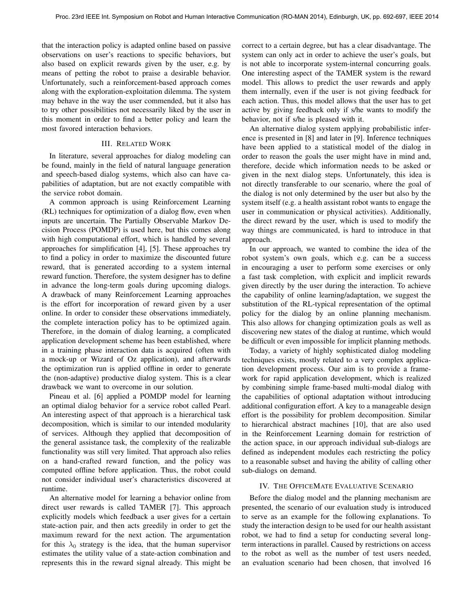that the interaction policy is adapted online based on passive observations on user's reactions to specific behaviors, but also based on explicit rewards given by the user, e.g. by means of petting the robot to praise a desirable behavior. Unfortunately, such a reinforcement-based approach comes along with the exploration-exploitation dilemma. The system may behave in the way the user commended, but it also has to try other possibilities not necessarily liked by the user in this moment in order to find a better policy and learn the most favored interaction behaviors.

## III. RELATED WORK

In literature, several approaches for dialog modeling can be found, mainly in the field of natural language generation and speech-based dialog systems, which also can have capabilities of adaptation, but are not exactly compatible with the service robot domain.

A common approach is using Reinforcement Learning (RL) techniques for optimization of a dialog flow, even when inputs are uncertain. The Partially Observable Markov Decision Process (POMDP) is used here, but this comes along with high computational effort, which is handled by several approaches for simplification [4], [5]. These approaches try to find a policy in order to maximize the discounted future reward, that is generated according to a system internal reward function. Therefore, the system designer has to define in advance the long-term goals during upcoming dialogs. A drawback of many Reinforcement Learning approaches is the effort for incorporation of reward given by a user online. In order to consider these observations immediately, the complete interaction policy has to be optimized again. Therefore, in the domain of dialog learning, a complicated application development scheme has been established, where in a training phase interaction data is acquired (often with a mock-up or Wizard of Oz application), and afterwards the optimization run is applied offline in order to generate the (non-adaptive) productive dialog system. This is a clear drawback we want to overcome in our solution.

Pineau et al. [6] applied a POMDP model for learning an optimal dialog behavior for a service robot called Pearl. An interesting aspect of that approach is a hierarchical task decomposition, which is similar to our intended modularity of services. Although they applied that decomposition of the general assistance task, the complexity of the realizable functionality was still very limited. That approach also relies on a hand-crafted reward function, and the policy was computed offline before application. Thus, the robot could not consider individual user's characteristics discovered at runtime.

An alternative model for learning a behavior online from direct user rewards is called TAMER [7]. This approach explicitly models which feedback a user gives for a certain state-action pair, and then acts greedily in order to get the maximum reward for the next action. The argumentation for this  $\lambda_0$  strategy is the idea, that the human supervisor estimates the utility value of a state-action combination and represents this in the reward signal already. This might be

correct to a certain degree, but has a clear disadvantage. The system can only act in order to achieve the user's goals, but is not able to incorporate system-internal concurring goals. One interesting aspect of the TAMER system is the reward model. This allows to predict the user rewards and apply them internally, even if the user is not giving feedback for each action. Thus, this model allows that the user has to get active by giving feedback only if s/he wants to modify the behavior, not if s/he is pleased with it.

An alternative dialog system applying probabilistic inference is presented in [8] and later in [9]. Inference techniques have been applied to a statistical model of the dialog in order to reason the goals the user might have in mind and, therefore, decide which information needs to be asked or given in the next dialog steps. Unfortunately, this idea is not directly transferable to our scenario, where the goal of the dialog is not only determined by the user but also by the system itself (e.g. a health assistant robot wants to engage the user in communication or physical activities). Additionally, the direct reward by the user, which is used to modify the way things are communicated, is hard to introduce in that approach.

In our approach, we wanted to combine the idea of the robot system's own goals, which e.g. can be a success in encouraging a user to perform some exercises or only a fast task completion, with explicit and implicit rewards given directly by the user during the interaction. To achieve the capability of online learning/adaptation, we suggest the substitution of the RL-typical representation of the optimal policy for the dialog by an online planning mechanism. This also allows for changing optimization goals as well as discovering new states of the dialog at runtime, which would be difficult or even impossible for implicit planning methods.

Today, a variety of highly sophisticated dialog modeling techniques exists, mostly related to a very complex application development process. Our aim is to provide a framework for rapid application development, which is realized by combining simple frame-based multi-modal dialog with the capabilities of optional adaptation without introducing additional configuration effort. A key to a manageable design effort is the possibility for problem decomposition. Similar to hierarchical abstract machines [10], that are also used in the Reinforcement Learning domain for restriction of the action space, in our approach individual sub-dialogs are defined as independent modules each restricting the policy to a reasonable subset and having the ability of calling other sub-dialogs on demand.

# IV. THE OFFICEMATE EVALUATIVE SCENARIO

Before the dialog model and the planning mechanism are presented, the scenario of our evaluation study is introduced to serve as an example for the following explanations. To study the interaction design to be used for our health assistant robot, we had to find a setup for conducting several longterm interactions in parallel. Caused by restrictions on access to the robot as well as the number of test users needed, an evaluation scenario had been chosen, that involved 16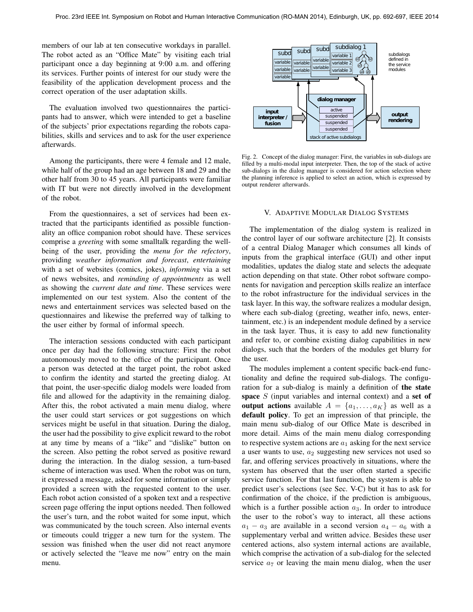members of our lab at ten consecutive workdays in parallel. The robot acted as an "Office Mate" by visiting each trial participant once a day beginning at 9:00 a.m. and offering its services. Further points of interest for our study were the feasibility of the application development process and the correct operation of the user adaptation skills.

The evaluation involved two questionnaires the participants had to answer, which were intended to get a baseline of the subjects' prior expectations regarding the robots capabilities, skills and services and to ask for the user experience afterwards.

Among the participants, there were 4 female and 12 male, while half of the group had an age between 18 and 29 and the other half from 30 to 45 years. All participants were familiar with IT but were not directly involved in the development of the robot.

From the questionnaires, a set of services had been extracted that the participants identified as possible functionality an office companion robot should have. These services comprise a *greeting* with some smalltalk regarding the wellbeing of the user, providing the *menu for the refectory*, providing *weather information and forecast*, *entertaining* with a set of websites (comics, jokes), *informing* via a set of news websites, and *reminding of appointments* as well as showing the *current date and time*. These services were implemented on our test system. Also the content of the news and entertainment services was selected based on the questionnaires and likewise the preferred way of talking to the user either by formal of informal speech.

The interaction sessions conducted with each participant once per day had the following structure: First the robot autonomously moved to the office of the participant. Once a person was detected at the target point, the robot asked to confirm the identity and started the greeting dialog. At that point, the user-specific dialog models were loaded from file and allowed for the adaptivity in the remaining dialog. After this, the robot activated a main menu dialog, where the user could start services or got suggestions on which services might be useful in that situation. During the dialog, the user had the possibility to give explicit reward to the robot at any time by means of a "like" and "dislike" button on the screen. Also petting the robot served as positive reward during the interaction. In the dialog session, a turn-based scheme of interaction was used. When the robot was on turn, it expressed a message, asked for some information or simply provided a screen with the requested content to the user. Each robot action consisted of a spoken text and a respective screen page offering the input options needed. Then followed the user's turn, and the robot waited for some input, which was communicated by the touch screen. Also internal events or timeouts could trigger a new turn for the system. The session was finished when the user did not react anymore or actively selected the "leave me now" entry on the main menu.



Fig. 2. Concept of the dialog manager: First, the variables in sub-dialogs are filled by a multi-modal input interpreter. Then, the top of the stack of active sub-dialogs in the dialog manager is considered for action selection where the planning inference is applied to select an action, which is expressed by output renderer afterwards.

## V. ADAPTIVE MODULAR DIALOG SYSTEMS

The implementation of the dialog system is realized in the control layer of our software architecture [2]. It consists of a central Dialog Manager which consumes all kinds of inputs from the graphical interface (GUI) and other input modalities, updates the dialog state and selects the adequate action depending on that state. Other robot software components for navigation and perception skills realize an interface to the robot infrastructure for the individual services in the task layer. In this way, the software realizes a modular design, where each sub-dialog (greeting, weather info, news, entertainment, etc.) is an independent module defined by a service in the task layer. Thus, it is easy to add new functionality and refer to, or combine existing dialog capabilities in new dialogs, such that the borders of the modules get blurry for the user.

The modules implement a content specific back-end functionality and define the required sub-dialogs. The configuration for a sub-dialog is mainly a definition of the state space  $S$  (input variables and internal context) and a set of output actions available  $A = \{a_1, \ldots, a_K\}$  as well as a default policy. To get an impression of that principle, the main menu sub-dialog of our Office Mate is described in more detail. Aims of the main menu dialog corresponding to respective system actions are  $a_1$  asking for the next service a user wants to use,  $a_2$  suggesting new services not used so far, and offering services proactively in situations, where the system has observed that the user often started a specific service function. For that last function, the system is able to predict user's selections (see Sec. V-C) but it has to ask for confirmation of the choice, if the prediction is ambiguous, which is a further possible action  $a_3$ . In order to introduce the user to the robot's way to interact, all these actions  $a_1 - a_3$  are available in a second version  $a_4 - a_6$  with a supplementary verbal and written advice. Besides these user centered actions, also system internal actions are available, which comprise the activation of a sub-dialog for the selected service  $a_7$  or leaving the main menu dialog, when the user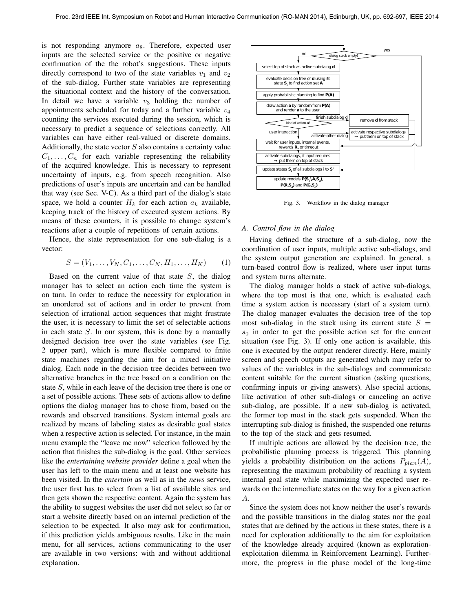is not responding anymore  $a_8$ . Therefore, expected user inputs are the selected service or the positive or negative confirmation of the the robot's suggestions. These inputs directly correspond to two of the state variables  $v_1$  and  $v_2$ of the sub-dialog. Further state variables are representing the situational context and the history of the conversation. In detail we have a variable  $v_3$  holding the number of appointments scheduled for today and a further variable  $v_4$ counting the services executed during the session, which is necessary to predict a sequence of selections correctly. All variables can have either real-valued or discrete domains. Additionally, the state vector  $S$  also contains a certainty value  $C_1, \ldots, C_n$  for each variable representing the reliability of the acquired knowledge. This is necessary to represent uncertainty of inputs, e.g. from speech recognition. Also predictions of user's inputs are uncertain and can be handled that way (see Sec. V-C). As a third part of the dialog's state space, we hold a counter  $H_k$  for each action  $a_k$  available, keeping track of the history of executed system actions. By means of these counters, it is possible to change system's reactions after a couple of repetitions of certain actions.

Hence, the state representation for one sub-dialog is a vector:

$$
S = (V_1, \dots, V_N, C_1, \dots, C_N, H_1, \dots, H_K)
$$
 (1)

Based on the current value of that state  $S$ , the dialog manager has to select an action each time the system is on turn. In order to reduce the necessity for exploration in an unordered set of actions and in order to prevent from selection of irrational action sequences that might frustrate the user, it is necessary to limit the set of selectable actions in each state  $S$ . In our system, this is done by a manually designed decision tree over the state variables (see Fig. 2 upper part), which is more flexible compared to finite state machines regarding the aim for a mixed initiative dialog. Each node in the decision tree decides between two alternative branches in the tree based on a condition on the state S, while in each leave of the decision tree there is one or a set of possible actions. These sets of actions allow to define options the dialog manager has to chose from, based on the rewards and observed transitions. System internal goals are realized by means of labeling states as desirable goal states when a respective action is selected. For instance, in the main menu example the "leave me now" selection followed by the action that finishes the sub-dialog is the goal. Other services like the *entertaining website provider* define a goal when the user has left to the main menu and at least one website has been visited. In the *entertain* as well as in the *news* service, the user first has to select from a list of available sites and then gets shown the respective content. Again the system has the ability to suggest websites the user did not select so far or start a website directly based on an internal prediction of the selection to be expected. It also may ask for confirmation, if this prediction yields ambiguous results. Like in the main menu, for all services, actions communicating to the user are available in two versions: with and without additional explanation.



Fig. 3. Workflow in the dialog manager

#### *A. Control flow in the dialog*

Having defined the structure of a sub-dialog, now the coordination of user inputs, multiple active sub-dialogs, and the system output generation are explained. In general, a turn-based control flow is realized, where user input turns and system turns alternate.

The dialog manager holds a stack of active sub-dialogs, where the top most is that one, which is evaluated each time a system action is necessary (start of a system turn). The dialog manager evaluates the decision tree of the top most sub-dialog in the stack using its current state  $S =$  $s_0$  in order to get the possible action set for the current situation (see Fig. 3). If only one action is available, this one is executed by the output renderer directly. Here, mainly screen and speech outputs are generated which may refer to values of the variables in the sub-dialogs and communicate content suitable for the current situation (asking questions, confirming inputs or giving answers). Also special actions, like activation of other sub-dialogs or canceling an active sub-dialog, are possible. If a new sub-dialog is activated, the former top most in the stack gets suspended. When the interrupting sub-dialog is finished, the suspended one returns to the top of the stack and gets resumed.

If multiple actions are allowed by the decision tree, the probabilistic planning process is triggered. This planning yields a probability distribution on the actions  $P_{plan}(A)$ , representing the maximum probability of reaching a system internal goal state while maximizing the expected user rewards on the intermediate states on the way for a given action A.

Since the system does not know neither the user's rewards and the possible transitions in the dialog states nor the goal states that are defined by the actions in these states, there is a need for exploration additionally to the aim for exploitation of the knowledge already acquired (known as explorationexploitation dilemma in Reinforcement Learning). Furthermore, the progress in the phase model of the long-time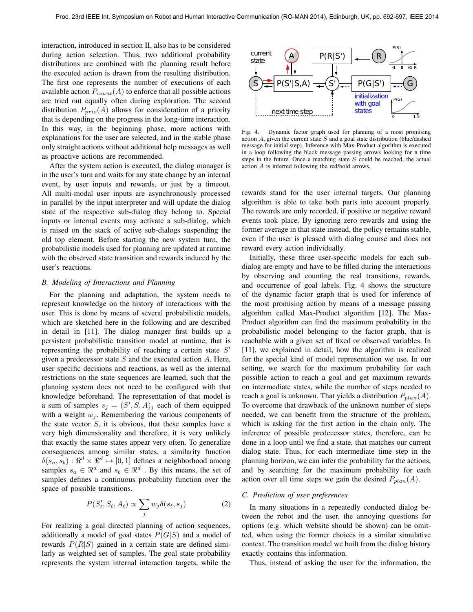interaction, introduced in section II, also has to be considered during action selection. Thus, two additional probability distributions are combined with the planning result before the executed action is drawn from the resulting distribution. The first one represents the number of executions of each available action  $P_{count}(A)$  to enforce that all possible actions are tried out equally often during exploration. The second distribution  $P_{prio}(A)$  allows for consideration of a priority that is depending on the progress in the long-time interaction. In this way, in the beginning phase, more actions with explanations for the user are selected, and in the stable phase only straight actions without additional help messages as well as proactive actions are recommended.

After the system action is executed, the dialog manager is in the user's turn and waits for any state change by an internal event, by user inputs and rewards, or just by a timeout. All multi-modal user inputs are asynchronously processed in parallel by the input interpreter and will update the dialog state of the respective sub-dialog they belong to. Special inputs or internal events may activate a sub-dialog, which is raised on the stack of active sub-dialogs suspending the old top element. Before starting the new system turn, the probabilistic models used for planning are updated at runtime with the observed state transition and rewards induced by the user's reactions.

### *B. Modeling of Interactions and Planning*

For the planning and adaptation, the system needs to represent knowledge on the history of interactions with the user. This is done by means of several probabilistic models, which are sketched here in the following and are described in detail in [11]. The dialog manager first builds up a persistent probabilistic transition model at runtime, that is representing the probability of reaching a certain state  $S'$ given a predecessor state  $S$  and the executed action  $A$ . Here, user specific decisions and reactions, as well as the internal restrictions on the state sequences are learned, such that the planning system does not need to be configured with that knowledge beforehand. The representation of that model is a sum of samples  $s_j = (S', S, A)_j$  each of them equipped with a weight  $w_i$ . Remembering the various components of the state vector  $S$ , it is obvious, that these samples have a very high dimensionality and therefore, it is very unlikely that exactly the same states appear very often. To generalize consequences among similar states, a similarity function  $\delta(s_a,s_b): \Re^d \times \Re^d \mapsto [0,1]$  defines a neighborhood among samples  $s_a \in \Re^d$  and  $s_b \in \Re^d$  . By this means, the set of samples defines a continuous probability function over the space of possible transitions.

$$
P(S'_t, S_t, A_t) \propto \sum_j w_j \delta(s_t, s_j)
$$
 (2)

For realizing a goal directed planning of action sequences, additionally a model of goal states  $P(G|S)$  and a model of rewards  $P(R|S)$  gained in a certain state are defined similarly as weighted set of samples. The goal state probability represents the system internal interaction targets, while the



Fig. 4. Dynamic factor graph used for planning of a most promising action  $A$ , given the current state  $S$  and a goal state distribution (blue/dashed message for initial step). Inference with Max-Product algorithm is executed in a loop following the black message passing arrows looking for n time steps in the future. Once a matching state  $S$  could be reached, the actual action A is inferred following the red/bold arrows.

rewards stand for the user internal targets. Our planning algorithm is able to take both parts into account properly. The rewards are only recorded, if positive or negative reward events took place. By ignoring zero rewards and using the former average in that state instead, the policy remains stable, even if the user is pleased with dialog course and does not reward every action individually.

Initially, these three user-specific models for each subdialog are empty and have to be filled during the interactions by observing and counting the real transitions, rewards, and occurrence of goal labels. Fig. 4 shows the structure of the dynamic factor graph that is used for inference of the most promising action by means of a message passing algorithm called Max-Product algorithm [12]. The Max-Product algorithm can find the maximum probability in the probabilistic model belonging to the factor graph, that is reachable with a given set of fixed or observed variables. In [11], we explained in detail, how the algorithm is realized for the special kind of model representation we use. In our setting, we search for the maximum probability for each possible action to reach a goal and get maximum rewards on intermediate states, while the number of steps needed to reach a goal is unknown. That yields a distribution  $P_{plan}(A)$ . To overcome that drawback of the unknown number of steps needed, we can benefit from the structure of the problem, which is asking for the first action in the chain only. The inference of possible predecessor states, therefore, can be done in a loop until we find a state, that matches our current dialog state. Thus, for each intermediate time step in the planning horizon, we can infer the probability for the actions, and by searching for the maximum probability for each action over all time steps we gain the desired  $P_{plan}(A)$ .

## *C. Prediction of user preferences*

In many situations in a repeatedly conducted dialog between the robot and the user, the annoying questions for options (e.g. which website should be shown) can be omitted, when using the former choices in a similar simulative context. The transition model we built from the dialog history exactly contains this information.

Thus, instead of asking the user for the information, the